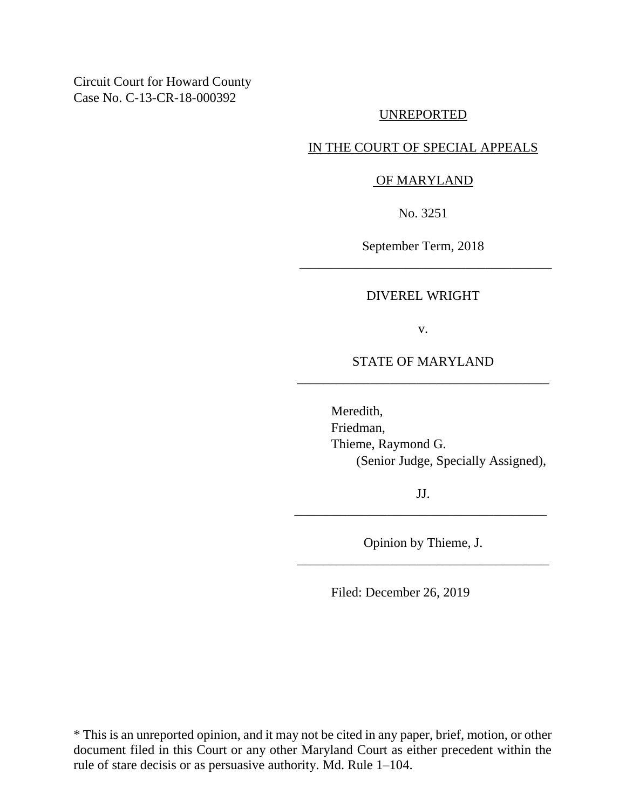Circuit Court for Howard County Case No. C-13-CR-18-000392

## UNREPORTED

# IN THE COURT OF SPECIAL APPEALS

### OF MARYLAND

No. 3251

September Term, 2018 \_\_\_\_\_\_\_\_\_\_\_\_\_\_\_\_\_\_\_\_\_\_\_\_\_\_\_\_\_\_\_\_\_\_\_\_\_\_

#### DIVEREL WRIGHT

v.

STATE OF MARYLAND \_\_\_\_\_\_\_\_\_\_\_\_\_\_\_\_\_\_\_\_\_\_\_\_\_\_\_\_\_\_\_\_\_\_\_\_\_\_

> Meredith, Friedman, Thieme, Raymond G. (Senior Judge, Specially Assigned),

JJ. \_\_\_\_\_\_\_\_\_\_\_\_\_\_\_\_\_\_\_\_\_\_\_\_\_\_\_\_\_\_\_\_\_\_\_\_\_\_

Opinion by Thieme, J. \_\_\_\_\_\_\_\_\_\_\_\_\_\_\_\_\_\_\_\_\_\_\_\_\_\_\_\_\_\_\_\_\_\_\_\_\_\_

Filed: December 26, 2019

\* This is an unreported opinion, and it may not be cited in any paper, brief, motion, or other document filed in this Court or any other Maryland Court as either precedent within the rule of stare decisis or as persuasive authority. Md. Rule 1–104.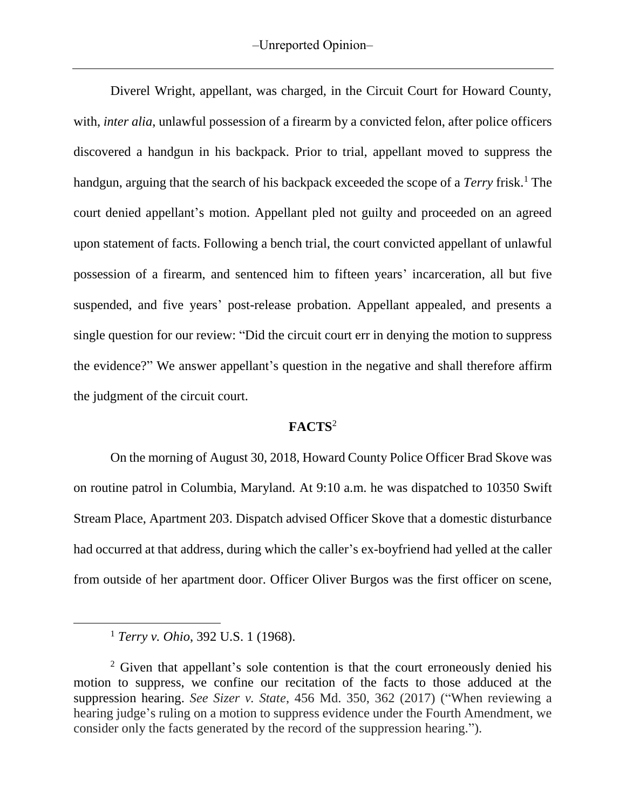Diverel Wright, appellant, was charged, in the Circuit Court for Howard County, with, *inter alia*, unlawful possession of a firearm by a convicted felon, after police officers discovered a handgun in his backpack. Prior to trial, appellant moved to suppress the handgun, arguing that the search of his backpack exceeded the scope of a *Terry* frisk.<sup>1</sup> The court denied appellant's motion. Appellant pled not guilty and proceeded on an agreed upon statement of facts. Following a bench trial, the court convicted appellant of unlawful possession of a firearm, and sentenced him to fifteen years' incarceration, all but five suspended, and five years' post-release probation. Appellant appealed, and presents a single question for our review: "Did the circuit court err in denying the motion to suppress the evidence?" We answer appellant's question in the negative and shall therefore affirm the judgment of the circuit court.

## **FACTS**<sup>2</sup>

On the morning of August 30, 2018, Howard County Police Officer Brad Skove was on routine patrol in Columbia, Maryland. At 9:10 a.m. he was dispatched to 10350 Swift Stream Place, Apartment 203. Dispatch advised Officer Skove that a domestic disturbance had occurred at that address, during which the caller's ex-boyfriend had yelled at the caller from outside of her apartment door. Officer Oliver Burgos was the first officer on scene,

 $\overline{\phantom{a}}$ 

<sup>1</sup> *Terry v. Ohio*, 392 U.S. 1 (1968).

 $2$  Given that appellant's sole contention is that the court erroneously denied his motion to suppress, we confine our recitation of the facts to those adduced at the suppression hearing. *See Sizer v. State*, 456 Md. 350, 362 (2017) ("When reviewing a hearing judge's ruling on a motion to suppress evidence under the Fourth Amendment, we consider only the facts generated by the record of the suppression hearing.").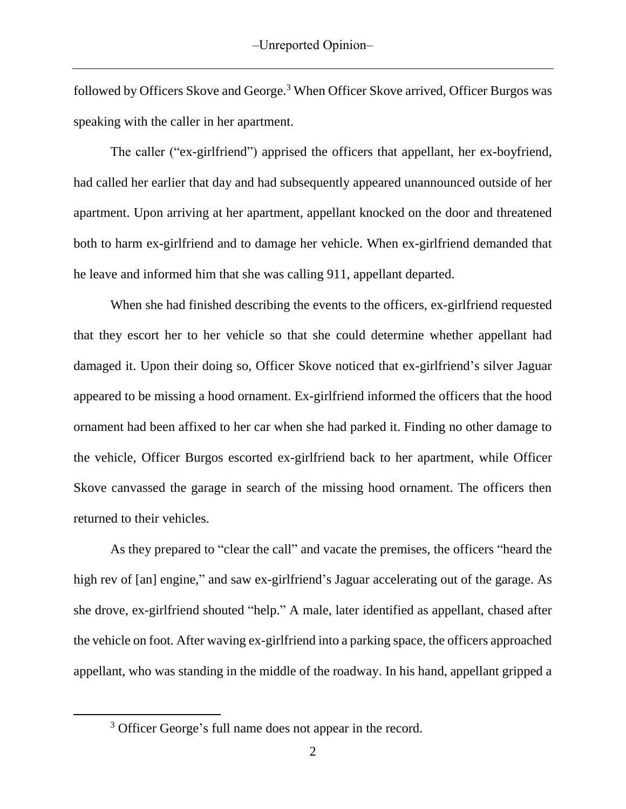followed by Officers Skove and George.<sup>3</sup> When Officer Skove arrived, Officer Burgos was speaking with the caller in her apartment.

The caller ("ex-girlfriend") apprised the officers that appellant, her ex-boyfriend, had called her earlier that day and had subsequently appeared unannounced outside of her apartment. Upon arriving at her apartment, appellant knocked on the door and threatened both to harm ex-girlfriend and to damage her vehicle. When ex-girlfriend demanded that he leave and informed him that she was calling 911, appellant departed.

When she had finished describing the events to the officers, ex-girlfriend requested that they escort her to her vehicle so that she could determine whether appellant had damaged it. Upon their doing so, Officer Skove noticed that ex-girlfriend's silver Jaguar appeared to be missing a hood ornament. Ex-girlfriend informed the officers that the hood ornament had been affixed to her car when she had parked it. Finding no other damage to the vehicle, Officer Burgos escorted ex-girlfriend back to her apartment, while Officer Skove canvassed the garage in search of the missing hood ornament. The officers then returned to their vehicles.

As they prepared to "clear the call" and vacate the premises, the officers "heard the high rev of [an] engine," and saw ex-girlfriend's Jaguar accelerating out of the garage. As she drove, ex-girlfriend shouted "help." A male, later identified as appellant, chased after the vehicle on foot. After waving ex-girlfriend into a parking space, the officers approached appellant, who was standing in the middle of the roadway. In his hand, appellant gripped a

 $\overline{\phantom{a}}$ 

<sup>&</sup>lt;sup>3</sup> Officer George's full name does not appear in the record.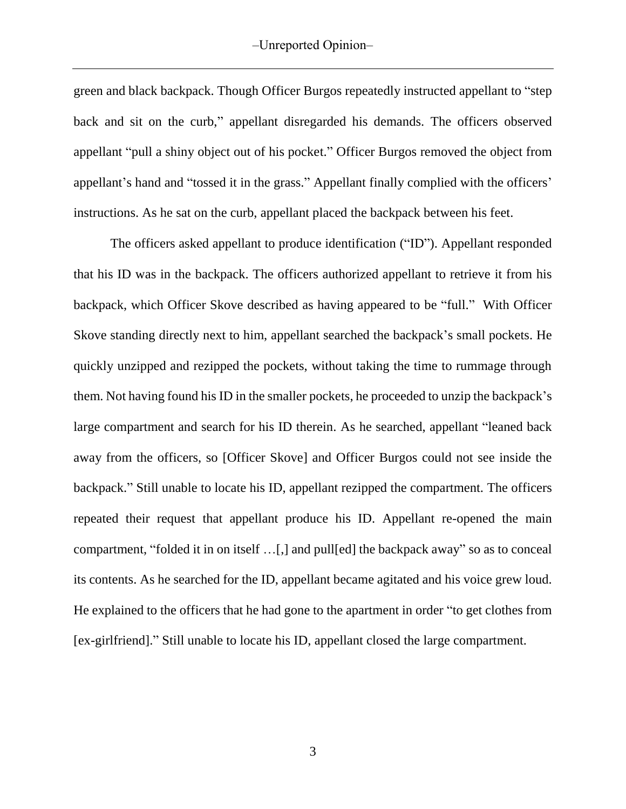green and black backpack. Though Officer Burgos repeatedly instructed appellant to "step back and sit on the curb," appellant disregarded his demands. The officers observed appellant "pull a shiny object out of his pocket." Officer Burgos removed the object from appellant's hand and "tossed it in the grass." Appellant finally complied with the officers' instructions. As he sat on the curb, appellant placed the backpack between his feet.

The officers asked appellant to produce identification ("ID"). Appellant responded that his ID was in the backpack. The officers authorized appellant to retrieve it from his backpack, which Officer Skove described as having appeared to be "full." With Officer Skove standing directly next to him, appellant searched the backpack's small pockets. He quickly unzipped and rezipped the pockets, without taking the time to rummage through them. Not having found his ID in the smaller pockets, he proceeded to unzip the backpack's large compartment and search for his ID therein. As he searched, appellant "leaned back away from the officers, so [Officer Skove] and Officer Burgos could not see inside the backpack." Still unable to locate his ID, appellant rezipped the compartment. The officers repeated their request that appellant produce his ID. Appellant re-opened the main compartment, "folded it in on itself …[,] and pull[ed] the backpack away" so as to conceal its contents. As he searched for the ID, appellant became agitated and his voice grew loud. He explained to the officers that he had gone to the apartment in order "to get clothes from [ex-girlfriend]." Still unable to locate his ID, appellant closed the large compartment.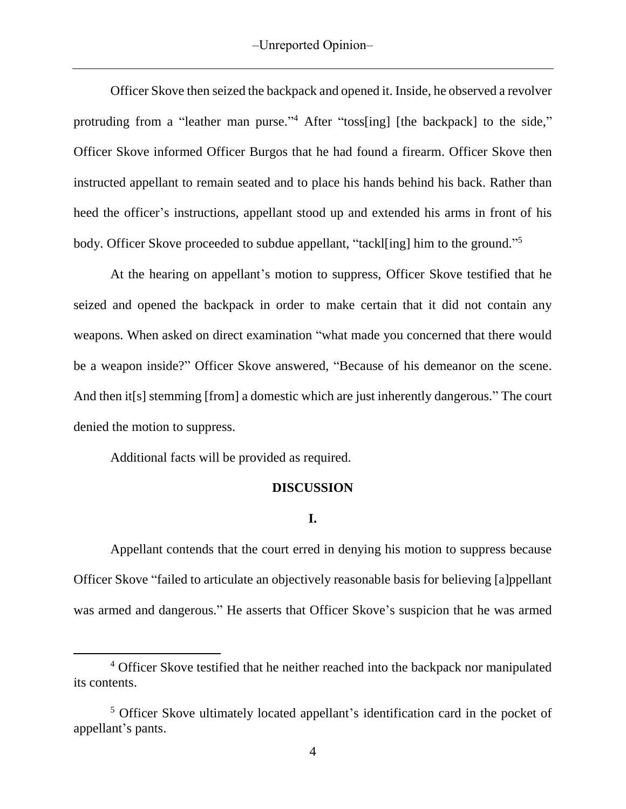Officer Skove then seized the backpack and opened it. Inside, he observed a revolver protruding from a "leather man purse."<sup>4</sup> After "toss[ing] [the backpack] to the side," Officer Skove informed Officer Burgos that he had found a firearm. Officer Skove then instructed appellant to remain seated and to place his hands behind his back. Rather than heed the officer's instructions, appellant stood up and extended his arms in front of his body. Officer Skove proceeded to subdue appellant, "tackl[ing] him to the ground."<sup>5</sup>

At the hearing on appellant's motion to suppress, Officer Skove testified that he seized and opened the backpack in order to make certain that it did not contain any weapons. When asked on direct examination "what made you concerned that there would be a weapon inside?" Officer Skove answered, "Because of his demeanor on the scene. And then it[s] stemming [from] a domestic which are just inherently dangerous." The court denied the motion to suppress.

Additional facts will be provided as required.

l

## **DISCUSSION**

#### **I.**

Appellant contends that the court erred in denying his motion to suppress because Officer Skove "failed to articulate an objectively reasonable basis for believing [a]ppellant was armed and dangerous." He asserts that Officer Skove's suspicion that he was armed

<sup>&</sup>lt;sup>4</sup> Officer Skove testified that he neither reached into the backpack nor manipulated its contents.

<sup>5</sup> Officer Skove ultimately located appellant's identification card in the pocket of appellant's pants.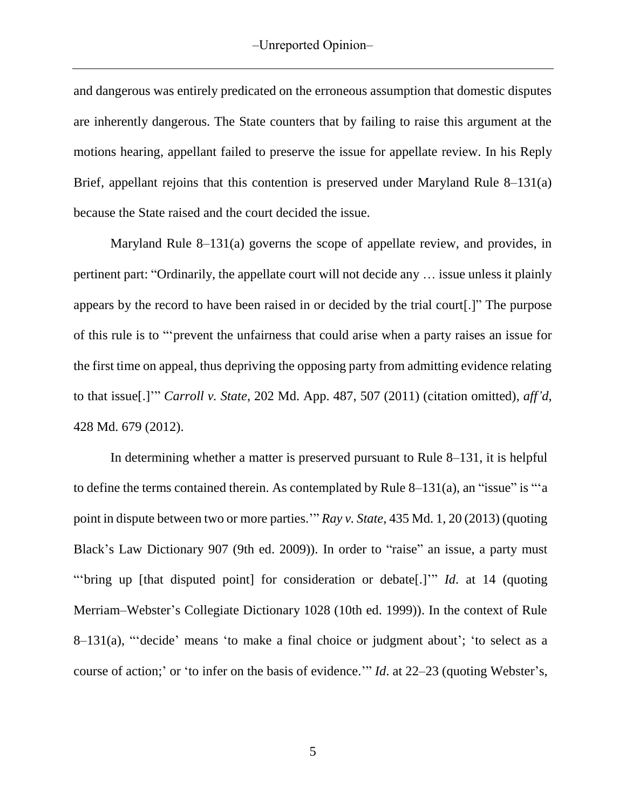and dangerous was entirely predicated on the erroneous assumption that domestic disputes are inherently dangerous. The State counters that by failing to raise this argument at the motions hearing, appellant failed to preserve the issue for appellate review. In his Reply Brief, appellant rejoins that this contention is preserved under Maryland Rule 8–131(a) because the State raised and the court decided the issue.

Maryland Rule 8–131(a) governs the scope of appellate review, and provides, in pertinent part: "Ordinarily, the appellate court will not decide any … issue unless it plainly appears by the record to have been raised in or decided by the trial court[.]" The purpose of this rule is to "'prevent the unfairness that could arise when a party raises an issue for the first time on appeal, thus depriving the opposing party from admitting evidence relating to that issue[.]'" *Carroll v. State*, 202 Md. App. 487, 507 (2011) (citation omitted), *aff'd*, 428 Md. 679 (2012).

In determining whether a matter is preserved pursuant to Rule 8–131, it is helpful to define the terms contained therein. As contemplated by Rule 8–131(a), an "issue" is "'a point in dispute between two or more parties.'" *Ray v. State*, 435 Md. 1, 20 (2013) (quoting Black's Law Dictionary 907 (9th ed. 2009)). In order to "raise" an issue, a party must "'bring up [that disputed point] for consideration or debate[.]'" *Id*. at 14 (quoting Merriam–Webster's Collegiate Dictionary 1028 (10th ed. 1999)). In the context of Rule 8–131(a), "'decide' means 'to make a final choice or judgment about'; 'to select as a course of action;' or 'to infer on the basis of evidence.'" *Id*. at 22–23 (quoting Webster's,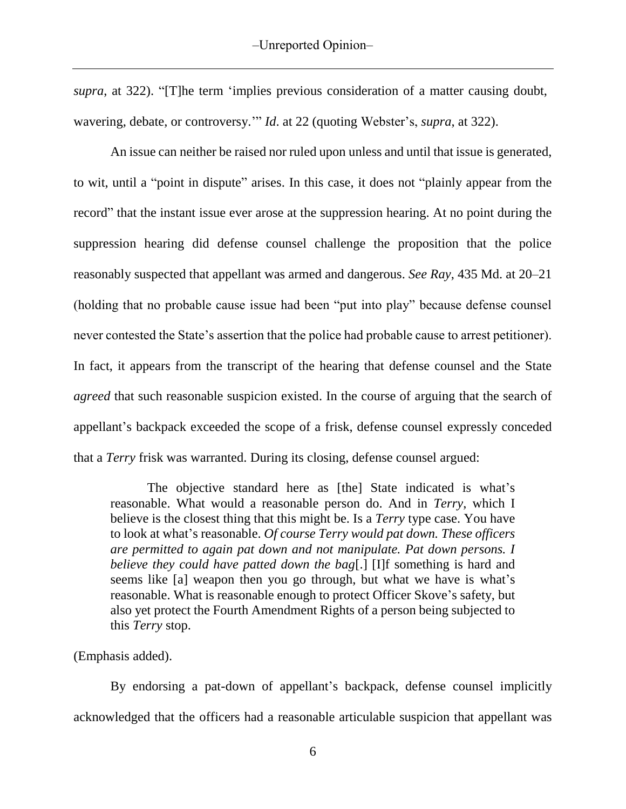*supra*, at 322). "[T]he term 'implies previous consideration of a matter causing doubt, wavering, debate, or controversy.'" *Id*. at 22 (quoting Webster's, *supra*, at 322).

An issue can neither be raised nor ruled upon unless and until that issue is generated, to wit, until a "point in dispute" arises. In this case, it does not "plainly appear from the record" that the instant issue ever arose at the suppression hearing. At no point during the suppression hearing did defense counsel challenge the proposition that the police reasonably suspected that appellant was armed and dangerous. *See Ray*, 435 Md. at 20–21 (holding that no probable cause issue had been "put into play" because defense counsel never contested the State's assertion that the police had probable cause to arrest petitioner). In fact, it appears from the transcript of the hearing that defense counsel and the State *agreed* that such reasonable suspicion existed. In the course of arguing that the search of appellant's backpack exceeded the scope of a frisk, defense counsel expressly conceded that a *Terry* frisk was warranted. During its closing, defense counsel argued:

The objective standard here as [the] State indicated is what's reasonable. What would a reasonable person do. And in *Terry*, which I believe is the closest thing that this might be. Is a *Terry* type case. You have to look at what's reasonable. *Of course Terry would pat down. These officers are permitted to again pat down and not manipulate. Pat down persons. I believe they could have patted down the bag*[.] [I]f something is hard and seems like [a] weapon then you go through, but what we have is what's reasonable. What is reasonable enough to protect Officer Skove's safety, but also yet protect the Fourth Amendment Rights of a person being subjected to this *Terry* stop.

# (Emphasis added).

By endorsing a pat-down of appellant's backpack, defense counsel implicitly acknowledged that the officers had a reasonable articulable suspicion that appellant was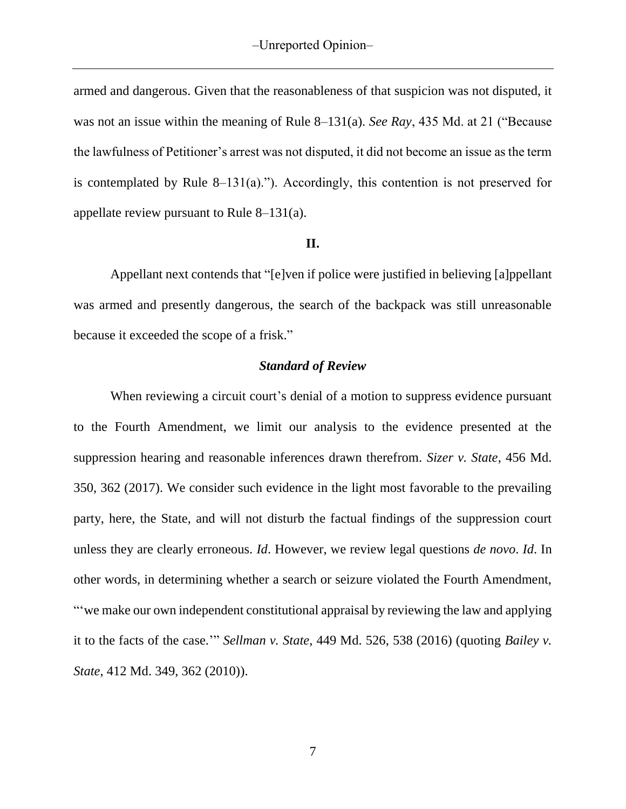armed and dangerous. Given that the reasonableness of that suspicion was not disputed, it was not an issue within the meaning of Rule 8–131(a). *See Ray*, 435 Md. at 21 ("Because the lawfulness of Petitioner's arrest was not disputed, it did not become an issue as the term is contemplated by Rule 8–131(a)."). Accordingly, this contention is not preserved for appellate review pursuant to Rule  $8-131(a)$ .

## **II.**

Appellant next contends that "[e]ven if police were justified in believing [a]ppellant was armed and presently dangerous, the search of the backpack was still unreasonable because it exceeded the scope of a frisk."

#### *Standard of Review*

When reviewing a circuit court's denial of a motion to suppress evidence pursuant to the Fourth Amendment, we limit our analysis to the evidence presented at the suppression hearing and reasonable inferences drawn therefrom. *Sizer v. State*, 456 Md. 350, 362 (2017). We consider such evidence in the light most favorable to the prevailing party, here, the State, and will not disturb the factual findings of the suppression court unless they are clearly erroneous. *Id*. However, we review legal questions *de novo*. *Id*. In other words, in determining whether a search or seizure violated the Fourth Amendment, "'we make our own independent constitutional appraisal by reviewing the law and applying it to the facts of the case.'" *Sellman v. State*, 449 Md. 526, 538 (2016) (quoting *Bailey v. State*, 412 Md. 349, 362 (2010)).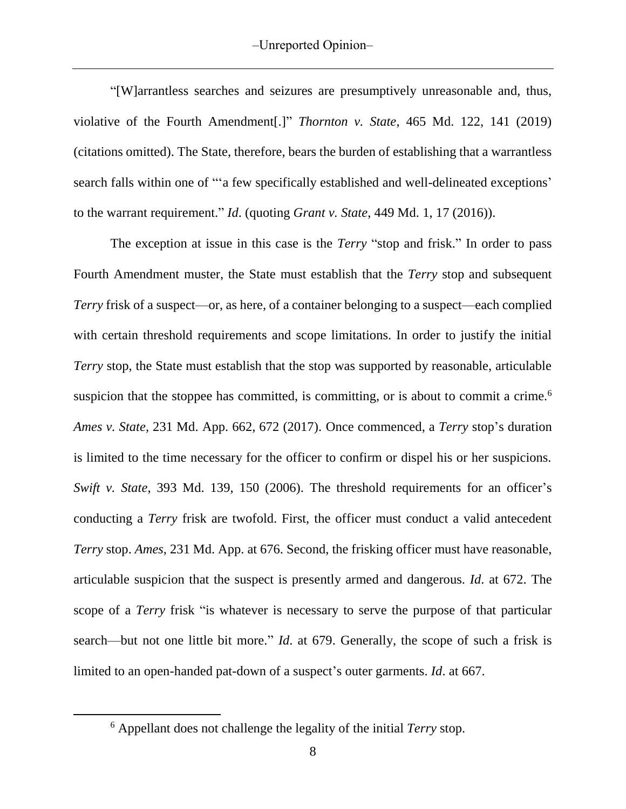"[W]arrantless searches and seizures are presumptively unreasonable and, thus, violative of the Fourth Amendment[.]" *Thornton v. State*, 465 Md. 122, 141 (2019) (citations omitted). The State, therefore, bears the burden of establishing that a warrantless search falls within one of "'a few specifically established and well-delineated exceptions' to the warrant requirement." *Id*. (quoting *Grant v. State*, 449 Md. 1, 17 (2016)).

The exception at issue in this case is the *Terry* "stop and frisk." In order to pass Fourth Amendment muster, the State must establish that the *Terry* stop and subsequent *Terry* frisk of a suspect—or, as here, of a container belonging to a suspect—each complied with certain threshold requirements and scope limitations. In order to justify the initial *Terry* stop, the State must establish that the stop was supported by reasonable, articulable suspicion that the stoppee has committed, is committing, or is about to commit a crime.<sup>6</sup> *Ames v. State*, 231 Md. App. 662, 672 (2017). Once commenced, a *Terry* stop's duration is limited to the time necessary for the officer to confirm or dispel his or her suspicions. *Swift v. State*, 393 Md. 139, 150 (2006). The threshold requirements for an officer's conducting a *Terry* frisk are twofold. First, the officer must conduct a valid antecedent *Terry* stop. *Ames*, 231 Md. App. at 676. Second, the frisking officer must have reasonable, articulable suspicion that the suspect is presently armed and dangerous. *Id*. at 672. The scope of a *Terry* frisk "is whatever is necessary to serve the purpose of that particular search—but not one little bit more." *Id*. at 679. Generally, the scope of such a frisk is limited to an open-handed pat-down of a suspect's outer garments. *Id*. at 667.

 $\overline{\phantom{a}}$ 

<sup>6</sup> Appellant does not challenge the legality of the initial *Terry* stop.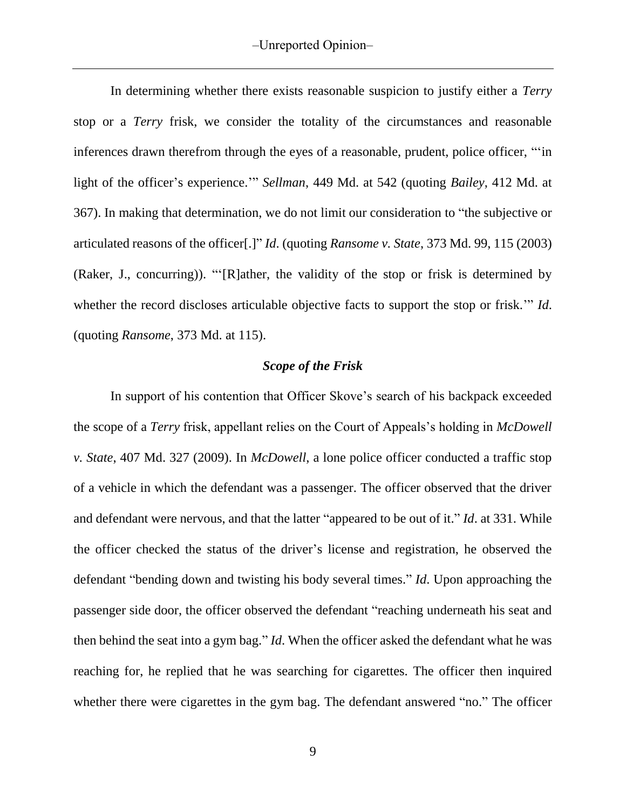In determining whether there exists reasonable suspicion to justify either a *Terry*  stop or a *Terry* frisk, we consider the totality of the circumstances and reasonable inferences drawn therefrom through the eyes of a reasonable, prudent, police officer, "'in light of the officer's experience.'" *Sellman*, 449 Md. at 542 (quoting *Bailey*, 412 Md. at 367). In making that determination, we do not limit our consideration to "the subjective or articulated reasons of the officer[.]" *Id*. (quoting *Ransome v. State*, 373 Md. 99, 115 (2003) (Raker, J., concurring)). "'[R]ather, the validity of the stop or frisk is determined by whether the record discloses articulable objective facts to support the stop or frisk.'" *Id*. (quoting *Ransome*, 373 Md. at 115).

#### *Scope of the Frisk*

In support of his contention that Officer Skove's search of his backpack exceeded the scope of a *Terry* frisk, appellant relies on the Court of Appeals's holding in *McDowell v. State*, 407 Md. 327 (2009). In *McDowell*, a lone police officer conducted a traffic stop of a vehicle in which the defendant was a passenger. The officer observed that the driver and defendant were nervous, and that the latter "appeared to be out of it." *Id*. at 331. While the officer checked the status of the driver's license and registration, he observed the defendant "bending down and twisting his body several times." *Id*. Upon approaching the passenger side door, the officer observed the defendant "reaching underneath his seat and then behind the seat into a gym bag." *Id*. When the officer asked the defendant what he was reaching for, he replied that he was searching for cigarettes. The officer then inquired whether there were cigarettes in the gym bag. The defendant answered "no." The officer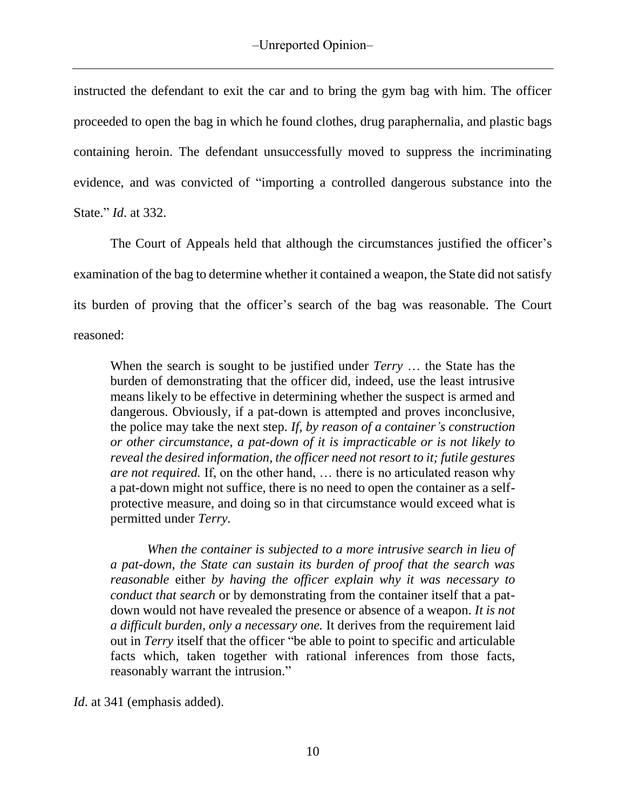instructed the defendant to exit the car and to bring the gym bag with him. The officer proceeded to open the bag in which he found clothes, drug paraphernalia, and plastic bags containing heroin. The defendant unsuccessfully moved to suppress the incriminating evidence, and was convicted of "importing a controlled dangerous substance into the State." *Id*. at 332.

The Court of Appeals held that although the circumstances justified the officer's examination of the bag to determine whether it contained a weapon, the State did not satisfy its burden of proving that the officer's search of the bag was reasonable. The Court reasoned:

When the search is sought to be justified under *Terry* … the State has the burden of demonstrating that the officer did, indeed, use the least intrusive means likely to be effective in determining whether the suspect is armed and dangerous. Obviously, if a pat-down is attempted and proves inconclusive, the police may take the next step. *If, by reason of a container's construction or other circumstance, a pat-down of it is impracticable or is not likely to reveal the desired information, the officer need not resort to it; futile gestures are not required.* If, on the other hand, … there is no articulated reason why a pat-down might not suffice, there is no need to open the container as a selfprotective measure, and doing so in that circumstance would exceed what is permitted under *Terry.*

*When the container is subjected to a more intrusive search in lieu of a pat-down, the State can sustain its burden of proof that the search was reasonable* either *by having the officer explain why it was necessary to conduct that search* or by demonstrating from the container itself that a patdown would not have revealed the presence or absence of a weapon. *It is not a difficult burden, only a necessary one.* It derives from the requirement laid out in *Terry* itself that the officer "be able to point to specific and articulable facts which, taken together with rational inferences from those facts, reasonably warrant the intrusion."

*Id*. at 341 (emphasis added).